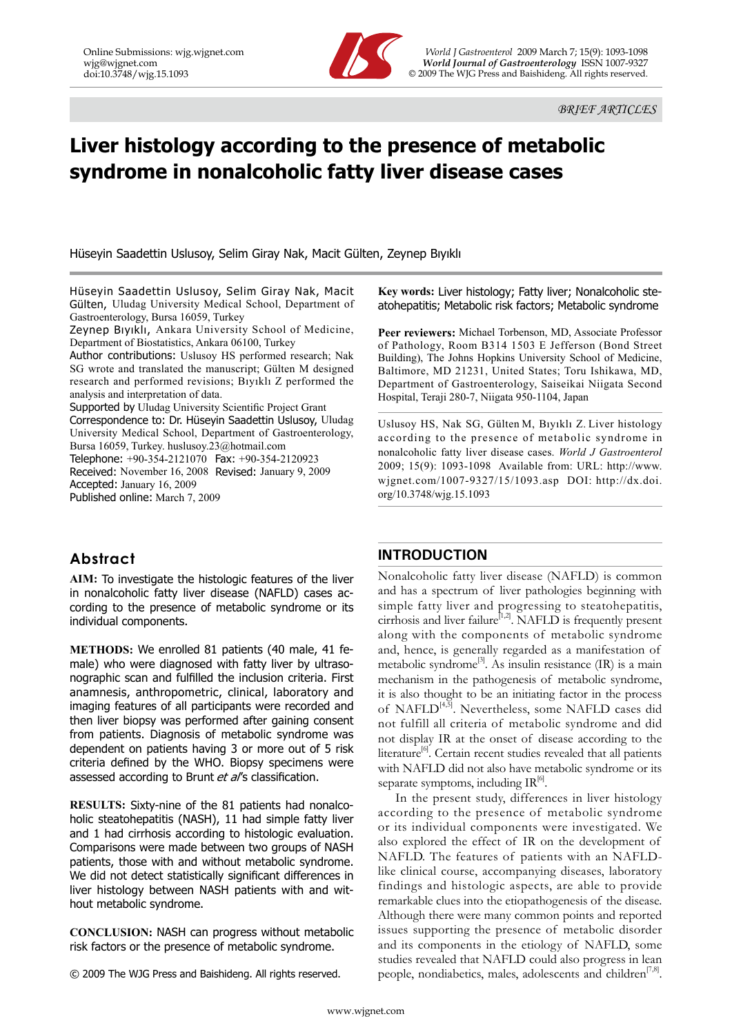

Online Submissions: wjg.wjgnet.com *World J Gastroenterol* 2009 March 7; 15(9): 1093-1098 wig@wignet.com *Service Service Service Service Service Service Service Service Service Service Service Service Service Service Service Service Service Service Service Service Service Service Service Service Service Servic*  $©$  2009 The WJG Press and Baishideng. All rights reserved.

# **Liver histology according to the presence of metabolic syndrome in nonalcoholic fatty liver disease cases**

Hüseyin Saadettin Uslusoy, Selim Giray Nak, Macit Gülten, Zeynep Bıyıklı

Hüseyin Saadettin Uslusoy, Selim Giray Nak, Macit Gülten, Uludag University Medical School, Department of Gastroenterology, Bursa 16059, Turkey

Zeynep Bıyıklı, Ankara University School of Medicine, Department of Biostatistics, Ankara 06100, Turkey

Author contributions: Uslusoy HS performed research; Nak SG wrote and translated the manuscript; Gülten M designed research and performed revisions; Bıyıklı Z performed the analysis and interpretation of data.

Supported by Uludag University Scientific Project Grant Correspondence to: Dr. Hüseyin Saadettin Uslusoy, Uludag University Medical School, Department of Gastroenterology, Bursa 16059, Turkey. huslusoy.23@hotmail.com Telephone: +90-354-2121070 Fax: +90-354-2120923

Received: November 16, 2008 Revised: January 9, 2009 Accepted: January 16, 2009 Published online: March 7, 2009

# **Abstract**

**AIM:** To investigate the histologic features of the liver in nonalcoholic fatty liver disease (NAFLD) cases according to the presence of metabolic syndrome or its individual components.

**METHODS:** We enrolled 81 patients (40 male, 41 female) who were diagnosed with fatty liver by ultrasonographic scan and fulfilled the inclusion criteria. First anamnesis, anthropometric, clinical, laboratory and imaging features of all participants were recorded and then liver biopsy was performed after gaining consent from patients. Diagnosis of metabolic syndrome was dependent on patients having 3 or more out of 5 risk criteria defined by the WHO. Biopsy specimens were assessed according to Brunt et al's classification.

**RESULTS:** Sixty-nine of the 81 patients had nonalcoholic steatohepatitis (NASH), 11 had simple fatty liver and 1 had cirrhosis according to histologic evaluation. Comparisons were made between two groups of NASH patients, those with and without metabolic syndrome. We did not detect statistically significant differences in liver histology between NASH patients with and without metabolic syndrome.

**CONCLUSION:** NASH can progress without metabolic risk factors or the presence of metabolic syndrome.

© 2009 The WJG Press and Baishideng. All rights reserved.

**Key words:** Liver histology; Fatty liver; Nonalcoholic steatohepatitis; Metabolic risk factors; Metabolic syndrome

**Peer reviewers:** Michael Torbenson, MD, Associate Professor of Pathology, Room B314 1503 E Jefferson (Bond Street Building), The Johns Hopkins University School of Medicine, Baltimore, MD 21231, United States; Toru Ishikawa, MD, Department of Gastroenterology, Saiseikai Niigata Second Hospital, Teraji 280-7, Niigata 950-1104, Japan

Uslusoy HS, Nak SG, Gülten M, Bıyıklı Z. Liver histology according to the presence of metabolic syndrome in nonalcoholic fatty liver disease cases. *World J Gastroenterol* 2009; 15(9): 1093-1098 Available from: URL: http://www. wjgnet.com/1007-9327/15/1093.asp DOI: http://dx.doi. org/10.3748/wjg.15.1093

# **INTRODUCTION**

Nonalcoholic fatty liver disease (NAFLD) is common and has a spectrum of liver pathologies beginning with simple fatty liver and progressing to steatohepatitis, cirrhosis and liver failure<sup>[1,2]</sup>. NAFLD is frequently present along with the components of metabolic syndrome and, hence, is generally regarded as a manifestation of metabolic syndrome<sup>[3]</sup>. As insulin resistance  $(IR)$  is a main mechanism in the pathogenesis of metabolic syndrome, it is also thought to be an initiating factor in the process of NAFLD<sup>[4,5]</sup>. Nevertheless, some NAFLD cases did not fulfill all criteria of metabolic syndrome and did not display IR at the onset of disease according to the literature<sup>[6]</sup>. Certain recent studies revealed that all patients with NAFLD did not also have metabolic syndrome or its separate symptoms, including  $IR^{[6]}$ .

In the present study, differences in liver histology according to the presence of metabolic syndrome or its individual components were investigated. We also explored the effect of IR on the development of NAFLD. The features of patients with an NAFLDlike clinical course, accompanying diseases, laboratory findings and histologic aspects, are able to provide remarkable clues into the etiopathogenesis of the disease. Although there were many common points and reported issues supporting the presence of metabolic disorder and its components in the etiology of NAFLD, some studies revealed that NAFLD could also progress in lean people, nondiabetics, males, adolescents and children<sup>[7,8]</sup>.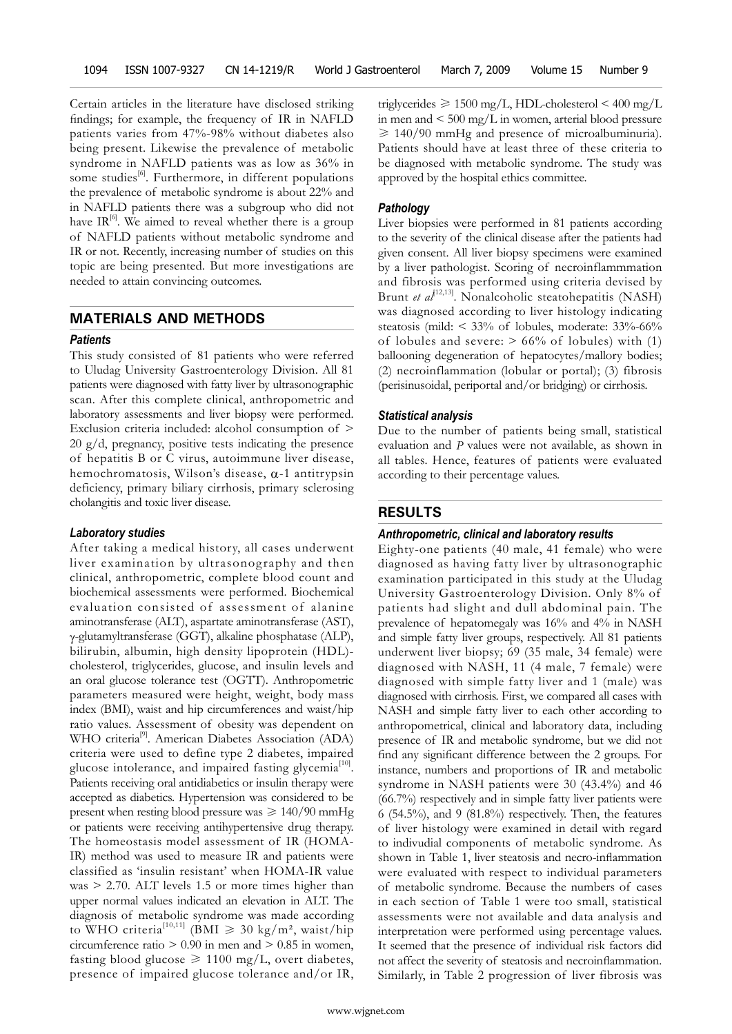Certain articles in the literature have disclosed striking findings; for example, the frequency of IR in NAFLD patients varies from 47%-98% without diabetes also being present. Likewise the prevalence of metabolic syndrome in NAFLD patients was as low as 36% in some studies<sup>[6]</sup>. Furthermore, in different populations the prevalence of metabolic syndrome is about 22% and in NAFLD patients there was a subgroup who did not have  $IR^{[6]}$ . We aimed to reveal whether there is a group of NAFLD patients without metabolic syndrome and IR or not. Recently, increasing number of studies on this topic are being presented. But more investigations are needed to attain convincing outcomes.

# **MATERIALS AND METHODS**

#### *Patients*

This study consisted of 81 patients who were referred to Uludag University Gastroenterology Division. All 81 patients were diagnosed with fatty liver by ultrasonographic scan. After this complete clinical, anthropometric and laboratory assessments and liver biopsy were performed. Exclusion criteria included: alcohol consumption of > 20 g/d, pregnancy, positive tests indicating the presence of hepatitis B or C virus, autoimmune liver disease, hemochromatosis, Wilson's disease, α-1 antitrypsin deficiency, primary biliary cirrhosis, primary sclerosing cholangitis and toxic liver disease.

## *Laboratory studies*

After taking a medical history, all cases underwent liver examination by ultrasonography and then clinical, anthropometric, complete blood count and biochemical assessments were performed. Biochemical evaluation consisted of assessment of alanine aminotransferase (ALT), aspartate aminotransferase (AST), γ-glutamyltransferase (GGT), alkaline phosphatase (ALP), bilirubin, albumin, high density lipoprotein (HDL) cholesterol, triglycerides, glucose, and insulin levels and an oral glucose tolerance test (OGTT). Anthropometric parameters measured were height, weight, body mass index (BMI), waist and hip circumferences and waist/hip ratio values. Assessment of obesity was dependent on WHO criteria<sup>[9]</sup>. American Diabetes Association (ADA) criteria were used to define type 2 diabetes, impaired glucose intolerance, and impaired fasting glycemia<sup>[10]</sup>. Patients receiving oral antidiabetics or insulin therapy were accepted as diabetics. Hypertension was considered to be present when resting blood pressure was  $\geq 140/90$  mmHg or patients were receiving antihypertensive drug therapy. The homeostasis model assessment of IR (HOMA-IR) method was used to measure IR and patients were classified as 'insulin resistant' when HOMA-IR value was > 2.70. ALT levels 1.5 or more times higher than upper normal values indicated an elevation in ALT. The diagnosis of metabolic syndrome was made according to WHO criteria<sup>[10,11]</sup> (BMI  $\geq$  30 kg/m<sup>2</sup>, waist/hip circumference ratio  $> 0.90$  in men and  $> 0.85$  in women, fasting blood glucose  $\geq 1100$  mg/L, overt diabetes, presence of impaired glucose tolerance and/or IR,

triglycerides  $\geq 1500$  mg/L, HDL-cholesterol  $\leq 400$  mg/L in men and  $\leq 500 \text{ mg/L}$  in women, arterial blood pressure  $\geq 140/90$  mmHg and presence of microalbuminuria). Patients should have at least three of these criteria to be diagnosed with metabolic syndrome. The study was approved by the hospital ethics committee.

## *Pathology*

Liver biopsies were performed in 81 patients according to the severity of the clinical disease after the patients had given consent. All liver biopsy specimens were examined by a liver pathologist. Scoring of necroinflammmation and fibrosis was performed using criteria devised by Brunt *et al*<sup>[12,13]</sup>. Nonalcoholic steatohepatitis (NASH) was diagnosed according to liver histology indicating steatosis (mild: < 33% of lobules, moderate: 33%-66% of lobules and severe:  $> 66\%$  of lobules) with (1) ballooning degeneration of hepatocytes/mallory bodies; (2) necroinflammation (lobular or portal); (3) fibrosis (perisinusoidal, periportal and/or bridging) or cirrhosis.

#### *Statistical analysis*

Due to the number of patients being small, statistical evaluation and *P* values were not available, as shown in all tables. Hence, features of patients were evaluated according to their percentage values.

#### **RESULTS**

#### *Anthropometric, clinical and laboratory results*

Eighty-one patients (40 male, 41 female) who were diagnosed as having fatty liver by ultrasonographic examination participated in this study at the Uludag University Gastroenterology Division. Only 8% of patients had slight and dull abdominal pain. The prevalence of hepatomegaly was 16% and 4% in NASH and simple fatty liver groups, respectively. All 81 patients underwent liver biopsy; 69 (35 male, 34 female) were diagnosed with NASH, 11 (4 male, 7 female) were diagnosed with simple fatty liver and 1 (male) was diagnosed with cirrhosis. First, we compared all cases with NASH and simple fatty liver to each other according to anthropometrical, clinical and laboratory data, including presence of IR and metabolic syndrome, but we did not find any significant difference between the 2 groups. For instance, numbers and proportions of IR and metabolic syndrome in NASH patients were 30 (43.4%) and 46 (66.7%) respectively and in simple fatty liver patients were 6 (54.5%), and 9 (81.8%) respectively. Then, the features of liver histology were examined in detail with regard to indivudial components of metabolic syndrome. As shown in Table 1, liver steatosis and necro-inflammation were evaluated with respect to individual parameters of metabolic syndrome. Because the numbers of cases in each section of Table 1 were too small, statistical assessments were not available and data analysis and interpretation were performed using percentage values. It seemed that the presence of individual risk factors did not affect the severity of steatosis and necroinflammation. Similarly, in Table 2 progression of liver fibrosis was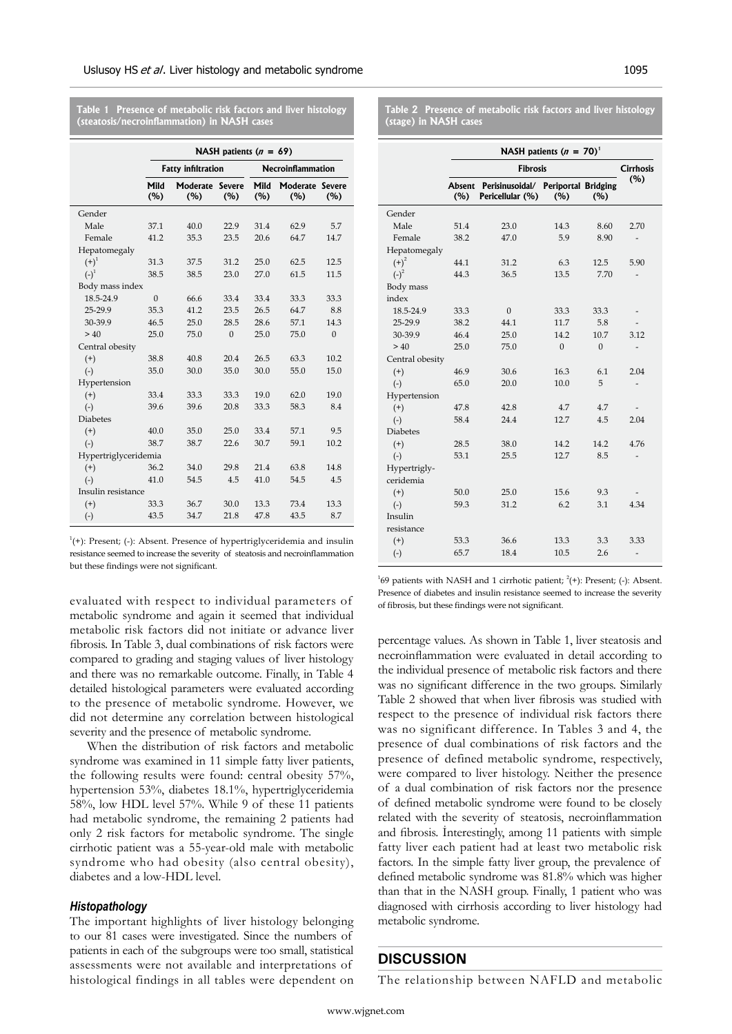**NASH patients (n = 69) Fatty infiltration Necroinflammation Mild (%) Moderate Severe (%) (%) Mild (%) Moderate Severe (%) (%)** Gender Male 37.1 40.0 22.9 31.4 62.9 5.7 Female 41.2 35.3 23.5 20.6 64.7 14.7 Hepatomegaly  $(+)^1$  31.3 37.5 31.2 25.0 62.5 12.5  $(-)^1$  38.5 38.5 23.0 27.0 61.5 11.5 Body mass index 18.5-24.9 0 66.6 33.4 33.4 33.3 33.3 25-29.9 35.3 41.2 23.5 26.5 64.7 8.8 30-39.9 46.5 25.0 28.5 28.6 57.1 14.3 > 40 25.0 75.0 0 25.0 75.0 0 Central obesity (+) 38.8 40.8 20.4 26.5 63.3 10.2 (-) 35.0 30.0 35.0 30.0 55.0 15.0 Hypertension (+) 33.4 33.3 33.3 19.0 62.0 19.0 (-) 39.6 39.6 20.8 33.3 58.3 8.4 Diabetes (+) 40.0 35.0 25.0 33.4 57.1 9.5 (-) 38.7 38.7 22.6 30.7 59.1 10.2 Hypertriglyceridemia (+) 36.2 34.0 29.8 21.4 63.8 14.8 (-) 41.0 54.5 4.5 41.0 54.5 4.5 Insulin resistance (+) 33.3 36.7 30.0 13.3 73.4 13.3 (-) 43.5 34.7 21.8 47.8 43.5 8.7

**Table 1 Presence of metabolic risk factors and liver histology (steatosis/necroinflammation) in NASH cases**

 $1^1$ (+): Present; (-): Absent. Presence of hypertriglyceridemia and insulin resistance seemed to increase the severity of steatosis and necroinflammation but these findings were not significant.

evaluated with respect to individual parameters of metabolic syndrome and again it seemed that individual metabolic risk factors did not initiate or advance liver fibrosis. In Table 3, dual combinations of risk factors were compared to grading and staging values of liver histology and there was no remarkable outcome. Finally, in Table 4 detailed histological parameters were evaluated according to the presence of metabolic syndrome. However, we did not determine any correlation between histological severity and the presence of metabolic syndrome.

When the distribution of risk factors and metabolic syndrome was examined in 11 simple fatty liver patients, the following results were found: central obesity 57%, hypertension 53%, diabetes 18.1%, hypertriglyceridemia 58%, low HDL level 57%. While 9 of these 11 patients had metabolic syndrome, the remaining 2 patients had only 2 risk factors for metabolic syndrome. The single cirrhotic patient was a 55-year-old male with metabolic syndrome who had obesity (also central obesity), diabetes and a low-HDL level.

#### *Histopathology*

The important highlights of liver histology belonging to our 81 cases were investigated. Since the numbers of patients in each of the subgroups were too small, statistical assessments were not available and interpretations of histological findings in all tables were dependent on **Table 2 Presence of metabolic risk factors and liver histology (stage) in NASH cases**

|                 | NASH patients ( $n = 70$ ) <sup>1</sup> |                                                                |          |              |                  |  |
|-----------------|-----------------------------------------|----------------------------------------------------------------|----------|--------------|------------------|--|
|                 | <b>Fibrosis</b>                         |                                                                |          |              | <b>Cirrhosis</b> |  |
|                 | (%)                                     | Absent Perisinusoidal/ Periportal Bridging<br>Pericellular (%) | (%)      | (%)          | (%)              |  |
| Gender          |                                         |                                                                |          |              |                  |  |
| Male            | 51.4                                    | 23.0                                                           | 14.3     | 8.60         | 2.70             |  |
| Female          | 38.2                                    | 47.0                                                           | 5.9      | 8.90         |                  |  |
| Hepatomegaly    |                                         |                                                                |          |              |                  |  |
| $(+)^2$         | 44.1                                    | 31.2                                                           | 6.3      | 12.5         | 5.90             |  |
| $(-)^2$         | 44.3                                    | 36.5                                                           | 13.5     | 7.70         |                  |  |
| Body mass       |                                         |                                                                |          |              |                  |  |
| index           |                                         |                                                                |          |              |                  |  |
| 18.5-24.9       | 33.3                                    | $\overline{0}$                                                 | 33.3     | 33.3         |                  |  |
| 25-29.9         | 38.2                                    | 44.1                                                           | 11.7     | 5.8          |                  |  |
| 30-39.9         | 46.4                                    | 25.0                                                           | 14.2     | 10.7         | 3.12             |  |
| > 40            | 25.0                                    | 75.0                                                           | $\Omega$ | $\mathbf{0}$ |                  |  |
| Central obesity |                                         |                                                                |          |              |                  |  |
| $^{(+)}$        | 46.9                                    | 30.6                                                           | 16.3     | 6.1          | 2.04             |  |
| $(-)$           | 65.0                                    | 20.0                                                           | 10.0     | 5            |                  |  |
| Hypertension    |                                         |                                                                |          |              |                  |  |
| $^{(+)}$        | 47.8                                    | 42.8                                                           | 4.7      | 4.7          |                  |  |
| $(-)$           | 58.4                                    | 24.4                                                           | 12.7     | 4.5          | 2.04             |  |
| <b>Diabetes</b> |                                         |                                                                |          |              |                  |  |
| $^{(+)}$        | 28.5                                    | 38.0                                                           | 14.2     | 14.2         | 4.76             |  |
| $(-)$           | 53.1                                    | 25.5                                                           | 12.7     | 8.5          |                  |  |
| Hypertrigly-    |                                         |                                                                |          |              |                  |  |
| ceridemia       |                                         |                                                                |          |              |                  |  |
| $(+)$           | 50.0                                    | 25.0                                                           | 15.6     | 9.3          |                  |  |
| $(-)$           | 59.3                                    | 31.2                                                           | 6.2      | 3.1          | 4.34             |  |
| Insulin         |                                         |                                                                |          |              |                  |  |
| resistance      |                                         |                                                                |          |              |                  |  |
| $^{(+)}$        | 53.3                                    | 36.6                                                           | 13.3     | 3.3          | 3.33             |  |
| $(-)$           | 65.7                                    | 18.4                                                           | 10.5     | 2.6          |                  |  |
|                 |                                         |                                                                |          |              |                  |  |

<sup>1</sup>69 patients with NASH and 1 cirrhotic patient;  $^{2}(+)$ : Present; (-): Absent. Presence of diabetes and insulin resistance seemed to increase the severity of fibrosis, but these findings were not significant.

percentage values. As shown in Table 1, liver steatosis and necroinflammation were evaluated in detail according to the individual presence of metabolic risk factors and there was no significant difference in the two groups. Similarly Table 2 showed that when liver fibrosis was studied with respect to the presence of individual risk factors there was no significant difference. In Tables 3 and 4, the presence of dual combinations of risk factors and the presence of defined metabolic syndrome, respectively, were compared to liver histology. Neither the presence of a dual combination of risk factors nor the presence of defined metabolic syndrome were found to be closely related with the severity of steatosis, necroinflammation and fibrosis. İnterestingly, among 11 patients with simple fatty liver each patient had at least two metabolic risk factors. In the simple fatty liver group, the prevalence of defined metabolic syndrome was 81.8% which was higher than that in the NASH group. Finally, 1 patient who was diagnosed with cirrhosis according to liver histology had metabolic syndrome.

# **DISCUSSION**

The relationship between NAFLD and metabolic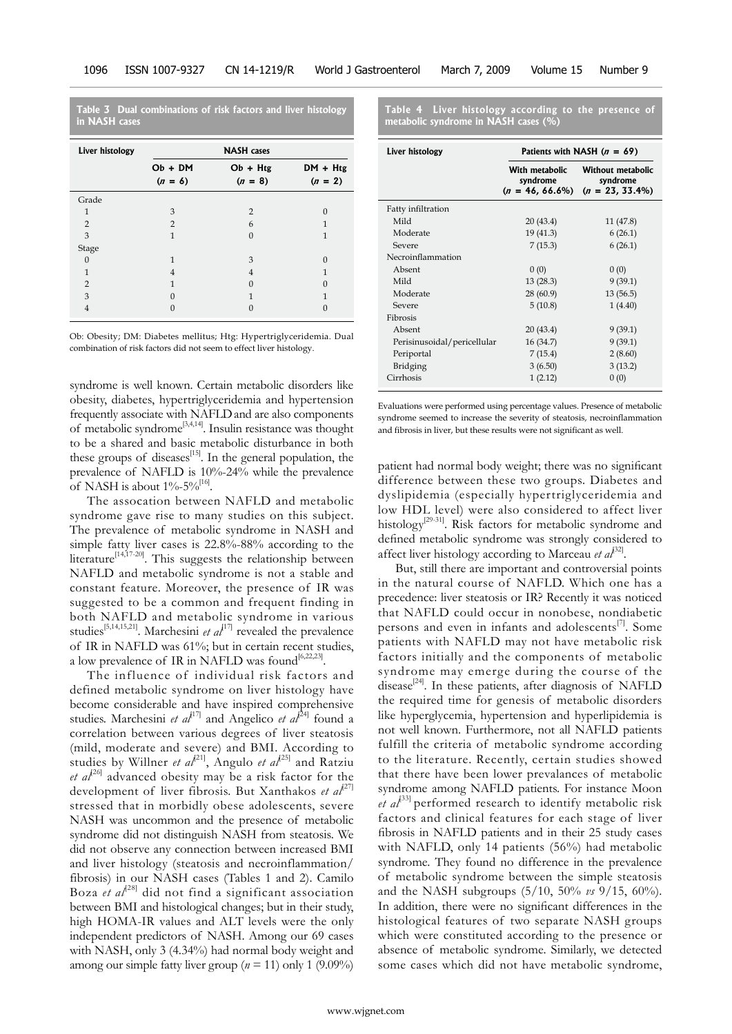**Table 3 Dual combinations of risk factors and liver histology in NASH cases**

| Liver histology | <b>NASH</b> cases |                |              |  |  |
|-----------------|-------------------|----------------|--------------|--|--|
|                 | $Ob + DM$         | $Ob + Htg$     | $DM + Htg$   |  |  |
|                 | $(n = 6)$         | $(n = 8)$      | $(n = 2)$    |  |  |
| Grade           |                   |                |              |  |  |
| $\mathbf{1}$    | 3                 | $\overline{2}$ | $\Omega$     |  |  |
| $\overline{2}$  | $\overline{2}$    | 6              | 1            |  |  |
| 3               | $\mathbf{1}$      | $\Omega$       | 1            |  |  |
| Stage           |                   |                |              |  |  |
| $\Omega$        | $\mathbf{1}$      | 3              | $\Omega$     |  |  |
| $\mathbf{1}$    | 4                 | $\overline{4}$ | $\mathbf{1}$ |  |  |
| $\overline{2}$  | 1                 | $\Omega$       | $\Omega$     |  |  |
| 3               | $\Omega$          | 1              | $\mathbf{1}$ |  |  |
| 4               | $\cup$            | 0              | 0            |  |  |

Ob: Obesity; DM: Diabetes mellitus; Htg: Hypertriglyceridemia. Dual combination of risk factors did not seem to effect liver histology.

syndrome is well known. Certain metabolic disorders like obesity, diabetes, hypertriglyceridemia and hypertension frequently associate with NAFLDand are also components of metabolic syndrome[3,4,14]. Insulin resistance was thought to be a shared and basic metabolic disturbance in both these groups of diseases $^{[15]}$ . In the general population, the prevalence of NAFLD is 10%-24% while the prevalence of NASH is about  $1\% - 5\%$ <sup>[16]</sup>.

The assocation between NAFLD and metabolic syndrome gave rise to many studies on this subject. The prevalence of metabolic syndrome in NASH and simple fatty liver cases is 22.8%-88% according to the literature<sup>[14,17-20]</sup>. This suggests the relationship between NAFLD and metabolic syndrome is not a stable and constant feature. Moreover, the presence of IR was suggested to be a common and frequent finding in both NAFLD and metabolic syndrome in various studies<sup>[5,14,15,21]</sup>. Marchesini *et al*<sup>[17]</sup> revealed the prevalence of IR in NAFLD was 61%; but in certain recent studies, a low prevalence of IR in NAFLD was found<sup>[6,22,23]</sup>.

The influence of individual risk factors and defined metabolic syndrome on liver histology have become considerable and have inspired comprehensive studies. Marchesini *et al*<sup>[17]</sup> and Angelico *et al*<sup>[24]</sup> found a correlation between various degrees of liver steatosis (mild, moderate and severe) and BMI. According to studies by Willner *et al*<sup>[21]</sup>, Angulo *et al*<sup>[25]</sup> and Ratziu et al<sup>[26]</sup> advanced obesity may be a risk factor for the development of liver fibrosis. But Xanthakos *et al*<sup>[27]</sup> stressed that in morbidly obese adolescents, severe NASH was uncommon and the presence of metabolic syndrome did not distinguish NASH from steatosis. We did not observe any connection between increased BMI and liver histology (steatosis and necroinflammation/ fibrosis) in our NASH cases (Tables 1 and 2). Camilo Boza et al<sup>[28]</sup> did not find a significant association between BMI and histological changes; but in their study, high HOMA-IR values and ALT levels were the only independent predictors of NASH. Among our 69 cases with NASH, only 3 (4.34%) had normal body weight and among our simple fatty liver group ( $n = 11$ ) only 1 (9.09%)

**Table 4 Liver histology according to the presence of metabolic syndrome in NASH cases (%)**

| Liver histology             | Patients with NASH $(n = 69)$                    |                                                     |  |  |
|-----------------------------|--------------------------------------------------|-----------------------------------------------------|--|--|
|                             | With metabolic<br>syndrome<br>$(n = 46, 66.6\%)$ | Without metabolic<br>syndrome<br>$(n = 23, 33.4\%)$ |  |  |
| Fatty infiltration          |                                                  |                                                     |  |  |
| Mild                        | 20(43.4)                                         | 11 (47.8)                                           |  |  |
| Moderate                    | 19 (41.3)                                        | 6(26.1)                                             |  |  |
| Severe                      | 7(15.3)                                          | 6(26.1)                                             |  |  |
| Necroinflammation           |                                                  |                                                     |  |  |
| Absent                      | 0(0)                                             | 0(0)                                                |  |  |
| Mild                        | 13(28.3)                                         | 9(39.1)                                             |  |  |
| Moderate                    | 28 (60.9)                                        | 13(56.5)                                            |  |  |
| Severe                      | 5(10.8)                                          | 1(4.40)                                             |  |  |
| Fibrosis                    |                                                  |                                                     |  |  |
| Absent                      | 20 (43.4)                                        | 9(39.1)                                             |  |  |
| Perisinusoidal/pericellular | 16 (34.7)                                        | 9(39.1)                                             |  |  |
| Periportal                  | 7(15.4)                                          | 2(8.60)                                             |  |  |
| Bridging                    | 3(6.50)                                          | 3(13.2)                                             |  |  |
| Cirrhosis                   | 1(2.12)                                          | 0(0)                                                |  |  |

Evaluations were performed using percentage values. Presence of metabolic syndrome seemed to increase the severity of steatosis, necroinflammation and fibrosis in liver, but these results were not significant as well.

patient had normal body weight; there was no significant difference between these two groups. Diabetes and dyslipidemia (especially hypertriglyceridemia and low HDL level) were also considered to affect liver histology<sup>[29-31]</sup>. Risk factors for metabolic syndrome and defined metabolic syndrome was strongly considered to affect liver histology according to Marceau *et al*<sup>32]</sup>.

But, still there are important and controversial points in the natural course of NAFLD. Which one has a precedence: liver steatosis or IR? Recently it was noticed that NAFLD could occur in nonobese, nondiabetic persons and even in infants and adolescents $[7]$ . Some patients with NAFLD may not have metabolic risk factors initially and the components of metabolic syndrome may emerge during the course of the disease<sup>[24]</sup>. In these patients, after diagnosis of NAFLD the required time for genesis of metabolic disorders like hyperglycemia, hypertension and hyperlipidemia is not well known. Furthermore, not all NAFLD patients fulfill the criteria of metabolic syndrome according to the literature. Recently, certain studies showed that there have been lower prevalances of metabolic syndrome among NAFLD patients. For instance Moon *et al*<sup> $[33]$ </sup> performed research to identify metabolic risk factors and clinical features for each stage of liver fibrosis in NAFLD patients and in their 25 study cases with NAFLD, only 14 patients (56%) had metabolic syndrome. They found no difference in the prevalence of metabolic syndrome between the simple steatosis and the NASH subgroups (5/10, 50% *vs* 9/15, 60%). In addition, there were no significant differences in the histological features of two separate NASH groups which were constituted according to the presence or absence of metabolic syndrome. Similarly, we detected some cases which did not have metabolic syndrome,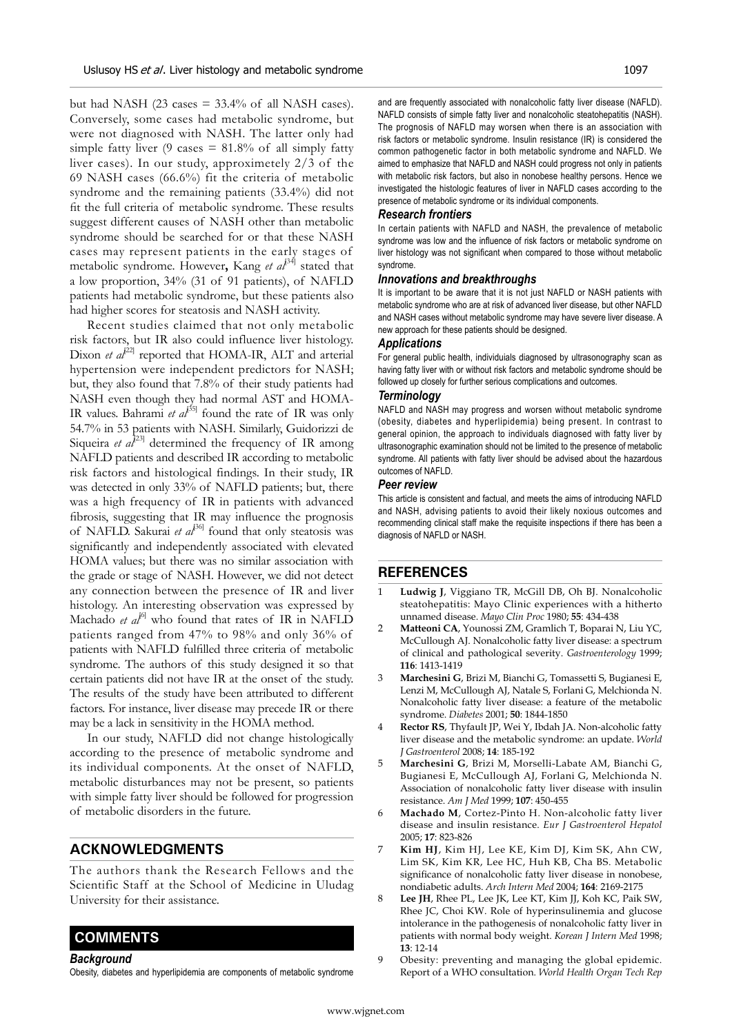but had NASH (23 cases  $= 33.4\%$  of all NASH cases). Conversely, some cases had metabolic syndrome, but were not diagnosed with NASH. The latter only had simple fatty liver (9 cases  $= 81.8\%$  of all simply fatty liver cases). In our study, approximetely 2/3 of the 69 NASH cases (66.6%) fit the criteria of metabolic syndrome and the remaining patients (33.4%) did not fit the full criteria of metabolic syndrome. These results suggest different causes of NASH other than metabolic syndrome should be searched for or that these NASH cases may represent patients in the early stages of metabolic syndrome. However, Kang et al<sup>[34]</sup> stated that a low proportion, 34% (31 of 91 patients), of NAFLD patients had metabolic syndrome, but these patients also had higher scores for steatosis and NASH activity.

Recent studies claimed that not only metabolic risk factors, but IR also could influence liver histology. Dixon *et al*<sup>[22]</sup> reported that HOMA-IR, ALT and arterial hypertension were independent predictors for NASH; but, they also found that 7.8% of their study patients had NASH even though they had normal AST and HOMA-IR values. Bahrami *et al*<sup> $35$ </sup> found the rate of IR was only 54.7% in 53 patients with NASH. Similarly, Guidorizzi de Siqueira *et al*<sup>[23]</sup> determined the frequency of IR among NAFLD patients and described IR according to metabolic risk factors and histological findings. In their study, IR was detected in only 33% of NAFLD patients; but, there was a high frequency of IR in patients with advanced fibrosis, suggesting that IR may influence the prognosis of NAFLD. Sakurai *et al*<sup>36]</sup> found that only steatosis was significantly and independently associated with elevated HOMA values; but there was no similar association with the grade or stage of NASH. However, we did not detect any connection between the presence of IR and liver histology. An interesting observation was expressed by Machado et al<sup>[6]</sup> who found that rates of IR in NAFLD patients ranged from 47% to 98% and only 36% of patients with NAFLD fulfilled three criteria of metabolic syndrome. The authors of this study designed it so that certain patients did not have IR at the onset of the study. The results of the study have been attributed to different factors. For instance, liver disease may precede IR or there may be a lack in sensitivity in the HOMA method.

In our study, NAFLD did not change histologically according to the presence of metabolic syndrome and its individual components. At the onset of NAFLD, metabolic disturbances may not be present, so patients with simple fatty liver should be followed for progression of metabolic disorders in the future.

# **ACKNOWLEDGMENTS**

The authors thank the Research Fellows and the Scientific Staff at the School of Medicine in Uludag University for their assistance.

# **COMMENTS COMMENTS**

*Background*

Obesity, diabetes and hyperlipidemia are components of metabolic syndrome

and are frequently associated with nonalcoholic fatty liver disease (NAFLD). NAFLD consists of simple fatty liver and nonalcoholic steatohepatitis (NASH). The prognosis of NAFLD may worsen when there is an association with risk factors or metabolic syndrome. Insulin resistance (IR) is considered the common pathogenetic factor in both metabolic syndrome and NAFLD. We aimed to emphasize that NAFLD and NASH could progress not only in patients with metabolic risk factors, but also in nonobese healthy persons. Hence we investigated the histologic features of liver in NAFLD cases according to the presence of metabolic syndrome or its individual components.

#### *Research frontiers*

In certain patients with NAFLD and NASH, the prevalence of metabolic syndrome was low and the influence of risk factors or metabolic syndrome on liver histology was not significant when compared to those without metabolic syndrome.

#### *Innovations and breakthroughs*

It is important to be aware that it is not just NAFLD or NASH patients with metabolic syndrome who are at risk of advanced liver disease, but other NAFLD and NASH cases without metabolic syndrome may have severe liver disease. A new approach for these patients should be designed.

#### *Applications*

For general public health, individuials diagnosed by ultrasonography scan as having fatty liver with or without risk factors and metabolic syndrome should be followed up closely for further serious complications and outcomes.

#### *Terminology*

NAFLD and NASH may progress and worsen without metabolic syndrome (obesity, diabetes and hyperlipidemia) being present. In contrast to general opinion, the approach to individuals diagnosed with fatty liver by ultrasonographic examination should not be limited to the presence of metabolic syndrome. All patients with fatty liver should be advised about the hazardous outcomes of NAFLD.

#### *Peer review*

This article is consistent and factual, and meets the aims of introducing NAFLD and NASH, advising patients to avoid their likely noxious outcomes and recommending clinical staff make the requisite inspections if there has been a diagnosis of NAFLD or NASH.

# **REFERENCES**

- 1 **Ludwig J**, Viggiano TR, McGill DB, Oh BJ. Nonalcoholic steatohepatitis: Mayo Clinic experiences with a hitherto unnamed disease. *Mayo Clin Proc* 1980; **55**: 434-438
- 2 **Matteoni CA**, Younossi ZM, Gramlich T, Boparai N, Liu YC, McCullough AJ. Nonalcoholic fatty liver disease: a spectrum of clinical and pathological severity. *Gastroenterology* 1999; **116**: 1413-1419
- 3 **Marchesini G**, Brizi M, Bianchi G, Tomassetti S, Bugianesi E, Lenzi M, McCullough AJ, Natale S, Forlani G, Melchionda N. Nonalcoholic fatty liver disease: a feature of the metabolic syndrome. *Diabetes* 2001; **50**: 1844-1850
- 4 **Rector RS**, Thyfault JP, Wei Y, Ibdah JA. Non-alcoholic fatty liver disease and the metabolic syndrome: an update. *World J Gastroenterol* 2008; **14**: 185-192
- 5 **Marchesini G**, Brizi M, Morselli-Labate AM, Bianchi G, Bugianesi E, McCullough AJ, Forlani G, Melchionda N. Association of nonalcoholic fatty liver disease with insulin resistance. *Am J Med* 1999; **107**: 450-455
- 6 **Machado M**, Cortez-Pinto H. Non-alcoholic fatty liver disease and insulin resistance. *Eur J Gastroenterol Hepatol* 2005; **17**: 823-826
- 7 **Kim HJ**, Kim HJ, Lee KE, Kim DJ, Kim SK, Ahn CW, Lim SK, Kim KR, Lee HC, Huh KB, Cha BS. Metabolic significance of nonalcoholic fatty liver disease in nonobese, nondiabetic adults. *Arch Intern Med* 2004; **164**: 2169-2175
- Lee JH, Rhee PL, Lee JK, Lee KT, Kim JJ, Koh KC, Paik SW, Rhee JC, Choi KW. Role of hyperinsulinemia and glucose intolerance in the pathogenesis of nonalcoholic fatty liver in patients with normal body weight. *Korean J Intern Med* 1998; **13**: 12-14
- 9 Obesity: preventing and managing the global epidemic. Report of a WHO consultation. *World Health Organ Tech Rep*